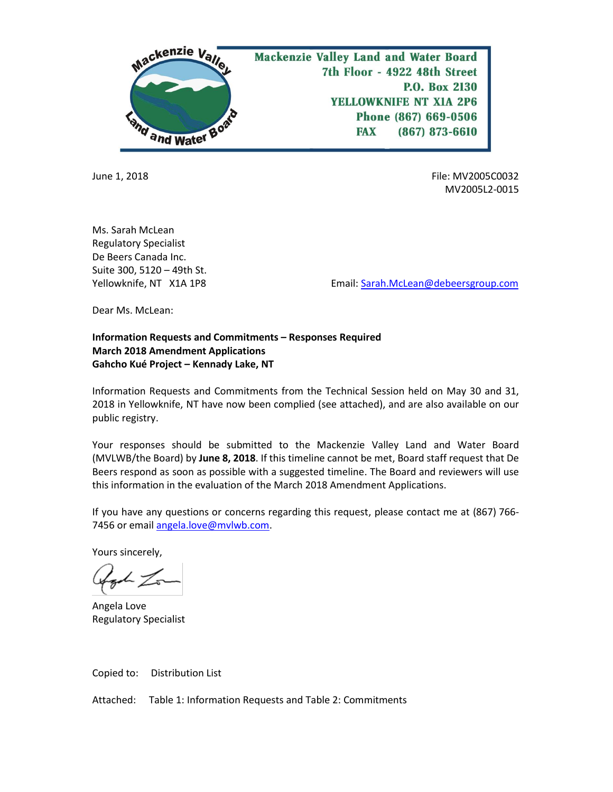

June 1, 2018 File: MV2005C0032 MV2005L2-0015

Ms. Sarah McLean Regulatory Specialist De Beers Canada Inc. Suite 300, 5120 – 49th St.

Yellowknife, NT X1A 1P8 **Email:** Sarah.McLean@debeersgroup.com

Dear Ms. McLean:

## **Information Requests and Commitments – Responses Required March 2018 Amendment Applications Gahcho Kué Project – Kennady Lake, NT**

Information Requests and Commitments from the Technical Session held on May 30 and 31, 2018 in Yellowknife, NT have now been complied (see attached), and are also available on our public registry.

Your responses should be submitted to the Mackenzie Valley Land and Water Board (MVLWB/the Board) by **June 8, 2018**. If this timeline cannot be met, Board staff request that De Beers respond as soon as possible with a suggested timeline. The Board and reviewers will use this information in the evaluation of the March 2018 Amendment Applications.

If you have any questions or concerns regarding this request, please contact me at (867) 766- 7456 or email [angela.love@mvlwb.com.](mailto:angela.love@mvlwb.com)

Yours sincerely,

Angela Love Regulatory Specialist

Copied to: Distribution List

Attached: Table 1: Information Requests and Table 2: Commitments